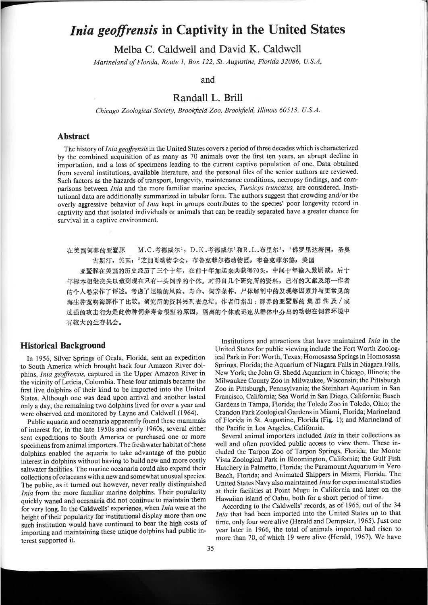# Inia geoffrensis in Captivity in the United States

Melba C. Caldwell and David K. Caldwell

Marineland of Florida, Route 1, Box 122, St. Augustine, Florida 32086, U.S.A.

and

# Randall L. Brill

Chicago Zoological Society, Brookfield Zoo, Brookfield, Illinois 60513, U.S.A.

#### **Abstract**

The history of *Inia geoffrensis* in the United States covers a period of three decades which is characterized by the combined acquisition of as many as 70 animals over the first ten years, an abrupt decline in importation, and a loss of specimens leading to the current captive population of one. Data obtained from several institutions, available literature, and the personal files of the senior authors are reviewed. Such factors as the hazards of transport, longevity, maintenance conditions, necropsy findings, and comparisons between *Inia* and the more familiar marine species, *Tursiops truncatus*, are considered. Institutional data are additionally summarized in tabular form. The authors suggest that crowding and/or the overly aggressive behavior of Inia kept in groups contributes to the species' poor longevity record in captivity and that isolated individuals or animals that can be readily separated have a greater chance for survival in a captive environment.

在美国饲养的亚鬣豚 M.C.考德威尔1, D.K.考德威尔1和R.L.布里尔2, 1佛罗里达海国, 圣奥 古斯汀, 美国; 2芝加哥动物学会, 布鲁克菲尔德动物园, 布鲁克菲尔德, 美国 亚罂豚在美国的历史经历了三个十年,在前十年加起来共获得70头,中间十年输入数剧减,后十 年标本相继丧失以致到现在只有一头饲养的个体。对得自几个研究所的资料,已有的文献及第一作者 的个人卷宗作了评述。考虑了运输的风险、寿命、饲养条件、尸体解剖中的发现等因素并与更常见的 海生种宽吻海豚作了比较。研究所的资料另列表总结。作者们指出:群养的亚暨豚的 集 群 性 及 / 或 过强的攻击行为是此物种饲养寿命很短的原因,隔离的个体或迅速从群体中分出的动物在饲养环境中

有较大的生存机会。

#### **Historical Background**

In 1956, Silver Springs of Ocala, Florida, sent an expedition to South America which brought back four Amazon River dolphins, *Inia geoffrensis*, captured in the Upper Amazon River in the vicinity of Leticia, Colombia. These four animals became the first live dolphins of their kind to be imported into the United States. Although one was dead upon arrival and another lasted only a day, the remaining two dolphins lived for over a year and were observed and monitored by Layne and Caldwell (1964).

Public aquaria and oceanaria apparently found these mammals of interest for, in the late 1950s and early 1960s, several either sent expeditions to South America or purchased one or more specimens from animal importers. The freshwater habitat of these dolphins enabled the aquaria to take advantage of the public interest in dolphins without having to build new and more costly saltwater facilities. The marine oceanaria could also expand their collections of cetaceans with a new and somewhat unusual species. The public, as it turned out however, never really distinguished Inia from the more familiar marine dolphins. Their popularity quickly waned and oceanaria did not continue to maintain them for very long. In the Caldwells' experience, when Inia were at the height of their popularity for institutional display more than one such institution would have continued to bear the high costs of importing and maintaining these unique dolphins had public interest supported it.

Institutions and attractions that have maintained *Inia* in the United States for public viewing include the Fort Worth Zoological Park in Fort Worth, Texas; Homosassa Springs in Homosassa Springs, Florida; the Aquarium of Niagara Falls in Niagara Falls, New York; the John G. Shedd Aquarium in Chicago, Illinois; the Milwaukee County Zoo in Milwaukee, Wisconsin; the Pittsburgh Zoo in Pittsburgh, Pennsylvania; the Steinhart Aquarium in San Francisco, California; Sea World in San Diego, California; Busch Gardens in Tampa, Florida; the Toledo Zoo in Toledo, Ohio; the Crandon Park Zoological Gardens in Miami, Florida; Marineland of Florida in St. Augustine, Florida (Fig. 1); and Marineland of the Pacific in Los Angeles, California.

Several animal importers included Inia in their collections as well and often provided public access to view them. These included the Tarpon Zoo of Tarpon Springs, Florida; the Monte Vista Zoological Park in Bloomington, California; the Gulf Fish Hatchery in Palmetto, Florida; the Paramount Aquarium in Vero Beach, Florida; and Animated Shippers in Miami, Florida. The United States Navy also maintained Inia for experimental studies at their facilities at Point Mugu in California and later on the Hawaiian island of Oahu, both for a short period of time.

According to the Caldwells' records, as of 1965, out of the 34 Inia that had been imported into the United States up to that time, only four were alive (Herald and Dempster, 1965). Just one year later in 1966, the total of animals imported had risen to more than 70, of which 19 were alive (Herald, 1967). We have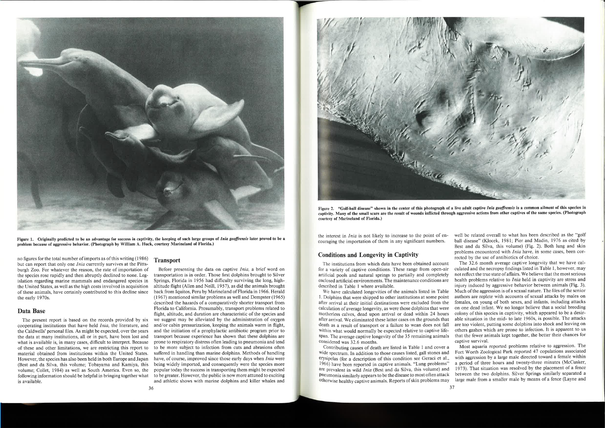

Figure 2. "Golf-ball disease" shown in the center of this photograph of a live adult captive *Inia geoffrensis* is a common ailment of this species in captivity. Many of the small scars are the result of wounds inflicted through aggressive actions from other captives of the same species. (Photograph courtesy of Marineland of Florida.)



Figure 1. Originally predicted to be an advantage for success in captivity, the keeping of such large groups of *Inia geoffrensis* later proved to be a problem because of aggressive behavior. (Photograph by William A. Huck, courtesy Marineland of Florida.)

no figures for the total number of imports as of this writing (1986) but can report that only one *Inia* currently survives at the Pittsburgh Zoo. For whatever the reason, the rate of importation of the species rose rapidly and then abruptly declined to none. Legislation regarding marine mammals and endangered species in the United States, as well as the high costs involved in acquisition of these animals, have certainly contributed to this decline since the early 1970s.

#### Data Base

The present report is based on the records provided by six cooperating institutions that have held Inia, the literature, and the Caldwells' personal files. As might be expected, over the years the data at many institutions, all or in part, have been lost and what is available is, in many cases, difficult to interpret. Because of these and other limitations, we are restricting this report to material obtained from institutions within the United States. However, the species has also been held in both Europe and Japan (Best and da Silva, this volume; Tobayama and Kamiya, this volume; Collet, 1984) as well as South America. Even so, the following information should be helpful in bringing together what is available.

## **Transport**

the interest in Inia is not likely to increase to the point of encouraging the importation of them in any significant numbers. well be related overall to what has been described as the "golf ball disease" (Klocek, 1981; Pier and Madin, 1976 as cited by Best and da Silva, this volume) (Fig. 2). Both lung and skin problems encountered with Inia have, in some cases, been corrected by the use of antibiotics of choice.

Before presenting the data on captive Inia, a brief word on transportation is in order. Those first dolphins brought to Silver Springs, Florida in 1956 had difficulty surviving the long, highaltitude flight (Allen and Neill, 1957), as did the animals brought back from Iquitos, Peru by Marineland of Florida in 1966. Herald (1967) mentioned similar problems as well and Dempster (1965) described the hazards of a comparatively shorter transport from Florida to California. Presumably, transport problems related to flight, altitude, and duration are characteristic of the species and we suggest may be alleviated by the administration of oxygen and/or cabin pressurization, keeping the animals warm in flight, and the initiation of a prophylactic antibiotic program prior to transport because experience has shown that these dolphins are prone to respiratory distress often leading to pneumonia and tend to be more subject to infection from cuts and abrasions often suffered in handling than marine dolphins. Methods of handling have, of course, improved since those early days when *Inia* were being widely imported, and consequently were the species more popular today the success in transporting them might be expected to be greater. However, the public is now more attuned to exciting and athletic shows with marine dolphins and killer whales and

Contributing causes of death are listed in Table 1 and cover a wide spectrum. In addition to those causes listed, gall stones and erysipelas (for a description of this condition see Geraci et a1., 1966) have been reported in captive animals. "Lung problems" are prevalent in wild Inia (Best and da Silva, this volume) and pneumonia similarly appears to be the disease to most often attack otherwise healthy captive animals. Reports of skin problems may Most aquaria reported problems relative to aggression. The Fort Worth Zoological Park reported 47 copulations associated with aggression by a large male directed toward a female within a period of three hours and twenty-three minutes (McCusker, 1973). That situation was resolved by the placement of a fence between the two dolphins. Silver Springs similarly separated a large male from a smaller male by means of a fence (Layne and

#### Conditions and Longevity in Captivity

for a variety of captive conditions. These range from open-air artificial pools and natural springs to partially and completely enclosed artificial environments. The maintenance conditions are described in Table I where available. I. Dolphins that were shipped to other institutions at some point after arrival at their initial destinations were excluded from the calculation of average longevity, as were those dolphins that were motherless calves, dead upon arrival or dead within 24 hours after arrival. We eliminated these latter cases on the grounds that death as a result of transport or a failure to wean does not fall within what would normally be expected relative to captive lifespan. The average captive longevity of the 35 remaining animals considered was 32.6 months.

The institutions from which data have been obtained account We have calculated longevities of the animals listed in Table The 32.6 month average captive longevity that we have calculated and the necropsy findings listed in Table l, however, may not reflect the true state of affairs. We believe that the most serious health problems relative to *Inia* held in captivity are stress and injury induced by aggressive behavior between animals (Fig. 3). Much of the aggression is of a sexual nature. The files of the senior authors are replete with accounts of sexual attacks by males on females, on young of both sexes, and infants, including attacks on one dead infant. We no longer believe that a social breeding colony of this species in captivity, which appeared to be a desirable situation in the mid- to late 1960s, is possible. The attacks are too violent, putting some dolphins into shock and leaving on others gashes which are prone to infection. It is apparent to us that the fewer animals kept together, the better their chances for captive survival.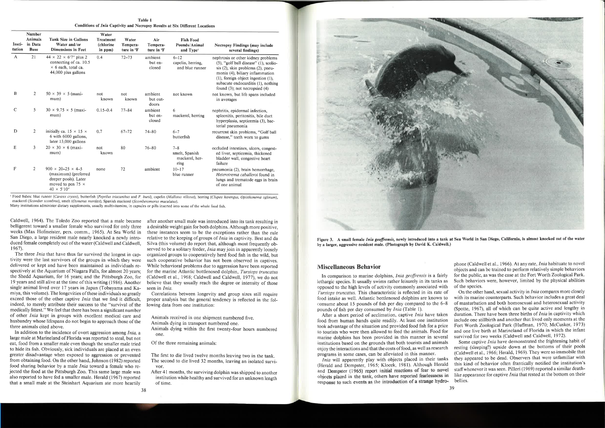Table I Conditions of Inia Captivity and Necropsy Results at Six Different Locations

| Insti-<br>tution | <b>Number</b><br><b>Animals</b><br>in Data<br><b>Base</b> | <b>Tank Size in Gallons</b><br>Water and/or<br><b>Dimensions in Feet</b>                                                            | Water<br><b>Treatment</b><br>(chlorine<br>in ppm) | Water<br>Tempera-<br>ture in <sup>o</sup> F | Air<br>Tempera-<br>ture in °F | <b>Fish Food</b><br>Pounds/Animal<br>and Type <sup>t</sup> | <b>Necropsy Findings (may include</b><br>several findings)                                                                                                                                                                                                                           |
|------------------|-----------------------------------------------------------|-------------------------------------------------------------------------------------------------------------------------------------|---------------------------------------------------|---------------------------------------------|-------------------------------|------------------------------------------------------------|--------------------------------------------------------------------------------------------------------------------------------------------------------------------------------------------------------------------------------------------------------------------------------------|
| A                | 21                                                        | $44 \times 22 \times 6'7''$ plus 2<br>connecting of ca. 10.5<br>$\times$ 6 each, total ca.<br>44,000 plus gallons                   | 0.4                                               | $72 - 73$                                   | ambient<br>but en-<br>closed  | $6 - 12$<br>capelin, herring.<br>and blue runner           | nephrosis or other kidney problems<br>$(5)$ , "golf ball disease" $(1)$ , scolio-<br>$s$ (2), skin problems $(2)$ , pneu-<br>monia (4), biliary inflammation<br>$(1)$ , foreign object ingestion $(1)$ ,<br>subacute endocarditis (1), nothing<br>found $(3)$ ; not necropsied $(4)$ |
| B                | 2                                                         | $50 \times 39 \times 5$ (maxi-<br>mum)                                                                                              | not<br>known                                      | not<br>known                                | ambient<br>but out-<br>doors  | not known                                                  | not known, but life spans included<br>in averages                                                                                                                                                                                                                                    |
| $\mathcal{C}$    | 5                                                         | $30 \times 9.75 \times 5$ (maxi-<br>mum)                                                                                            | $0.15 - 0.4$                                      | $77 - 84$                                   | ambient<br>but en-<br>closed  | 6<br>mackerel, herring                                     | nephritis, epidermal infection,<br>spleenitis, peritonitis, bile duct<br>hyperplasia, septicemia (3), bac-<br>terial pneumonia                                                                                                                                                       |
| D                | $\overline{2}$                                            | initially ca. $15 \times 15 \times$<br>6 with 6000 gallons,<br>later 13,000 gallons                                                 | 0.7                                               | $67 - 72$                                   | $74 - 80$                     | $6 - 7$<br>butterfish                                      | recurrent skin problems, "Golf ball<br>disease," teeth worn to gums                                                                                                                                                                                                                  |
| E                | $\overline{3}$                                            | $20 \times 30 \times 6$ (maxi-<br>mum)                                                                                              | not<br>known                                      | 80                                          | $76 - 80$                     | $7 - 8$<br>smelt, Spanish<br>mackerel, her-<br>ring        | occluded intestines, ulcers, congest-<br>ed liver, septicemia, thickened<br>bladder wall, congestive heart<br>failure                                                                                                                                                                |
| F                | 2                                                         | $900 \times 20 - 25 \times 4 - 5$<br>(maximum) (preferred<br>deeper pools). Later<br>moved to pen 75 $\times$<br>$40 \times 5'10''$ | none                                              | 72                                          | ambient                       | $10 - 17$<br>blue runner                                   | pneumonia (2), brain hemorrhage,<br>Heterotrema caballeroi found in<br>lungs and trematode eggs in brain<br>of one animal                                                                                                                                                            |

<sup>1</sup> Food fishes: blue runner (Caranx crysos), butterfish (Peprilus triacanthus and P. burti), capelin (Mallotus villosus), herring (Clupea harengus, Opisthonema oglinum), mackerel (Scomber scombras), smelt (Osmerus mordax), Spanish mackerel (Scomberomorus maculatus).

Caldwell, 1964). The Toledo Zoo reported that a male became after another small male was introduced into its tank resulting in belligerent toward a smaller female who survived for only three a desirable weight gain for both dolphins. Although more positive, weeks (Max Hofmeister, pers. comm., 1965). At Sea World in San Diego, a large resident male nearly knocked a newly intro- relative to the keeping of groups of *Inia* in captivity. Best and da duced female completely out of the water (Caldwell and Caldwell, 1967).

The three *Inia* that have thus far survived the longest in captivity were the last survivors of the groups in which they were delivered or kept and have been maintained as individuals respectively at the Aquarium of Niagara Falls, for almost 20 years; the Shedd Aquarium, for l6 years; and the Pittsburgh Zoo, for 19 years and still alive at the time of this writing (1986). Another single animal lived over l7 years in Japan (Tobayama and Kamiya, this volume). The longevities of these individuals so greatly exceed those of the other captive *Inia* that we find it difficult, indeed, to merely attribute their success to the "survival of the medically fittest." We feel that there has been a significant number of other Inia kept in groups with excellent medical care and husbandry whose lifespans do not begin to approach those of the three animals cited above.

In addition to the incidence of overt aggression among Inia, a large male at Marineland of Florida was reported to steal, but not eat, food from a smaller male even though the smaller male tried to hide its fish. Obviously, sick individuals are placed at an even greater disadvantage when exposed to aggression or prevented from obtaining food. On the other hand, Johnson (1982) reported food sharing behavior by a male Inia toward a female who rejected the food at the Pittsburgh Zoo. This same large male was also reported to have fed a smaller male. Herald (1967) reported that a small male at the Steinhart Aquarium ate more heartily

these instances seem to be the exceptions rather than the rule Silva (this volume) do report that, although most frequently observed to be a solitary feeder, *Inia* may join in apparently loosely organized groups to cooperatively herd food fish in the wild, but such cooperative behavior has not been observed in captives. While behavioral problems due to aggression have been reported for the marine Atlantic bottlenosed dolphin, Tursiops truncatus (Caldwell et al., 1968; Caldwell and Caldwell, 1977), we do not believe that they usually reach the degree or intensity of those seen in *Inia*.

Many institutions administer dietary supplements, usually multivitamins, in capsules or pills inserted into some of the whole food fish.

Correlations between longevity and group sizes still require proper analysis but the general tendency is reflected in the following data from one institution:

> After a short period of acclimation, captive Inia have taken food from human hands quite readily. At least one institution took advantage of the situation and provided food fish for a price to tourists who were then allowed to feed the animals. Food for marine dolphins has been provided in this manner in several institutions based on the grounds that both tourists and animals enjoy the interactions and that the costs offood, as well as research programs in some cases, can be alleviated in this manner.

phone (Caldwell et al., 1966). At any rate, *Inia* habituate to novel objects and can be trained to perform relatively simple behaviors for the public, as was the case at the Fort Worth Zoological Park. Such behaviors were, however, limited by the physical abilities of the species.

Animals received in one shipment numbered five.

Animals dying in transport numbered one.

Animals dying within the first twenty-four hours numbered one.

Of the three remaining animals:

The first to die lived twelve months leaving two in the tank. The second to die lived 32 months, leaving an isolated survivor.

After 41 months, the surviving dolphin was shipped to another institution while healthy and survived for an unknown length of time.

#### Miscellaneous Behavior

In comparison to marine dolphins, *Inia geoffrensis* is a fairly lethargic species. It usually swims rather leisurely in its tanks as opposed to the high levels of activity commonly associated with 'fursiops truncatus. This characteristic is reflected in its rate of food intake as well. Atlantic bottlenosed dolphins are known to consume about 15 pounds of fish per day compared to the  $6-8$ pounds of fish per day consumed by Inia (Table 1).

Inia will apparently play with objects placed in their tanks (Herald and Dempster, 1965; Klocek, 1981). Although Herald and Dempster (1965) report initial reactions of fear to novel objects placed in the tank, others have reported fearlessness in response to such events as the introduction of a strange hydro-

On the other hand, sexual activity in Inia compares more closely with its marine counterparts. Such behavior includes a great deal of masturbation and both homosexual and heterosexual activity (Spotte, 1967), all of which can be quite active and lengthy in duration. There have been three births of *Inia* in captivity which include one stillbirth and another that lived only moments at the Fort Worth Zoological Park (Huffman, 1970; McCusker, 1973) and one live birth at Marineland of Florida in which the infant survived for two weeks (Caldwell and Caldwell, 1972).

Some captive Inia have demonstrated the frightening habit of resting (sleeping?) upside down at the bottoms of their pools (Caldwell eta1., 1966; Herald, 1969). They were so immobile that they appeared to be dead. Observers that were unfamiliar with this kind of behavior often frantically notifled the institution's staffwhenever it was seen. Pilleri (1969) reported a similar deathlike appearance for captive *Inia* that rested at the bottom on their bellies.



Figure 3. A small female *Inia geoffrensis*, newly introduced into a tank at Sea World in San Diego, California, is almost knocked out of the water by a larger, aggressive resident male. (Photograph by David K. Caldwell.)